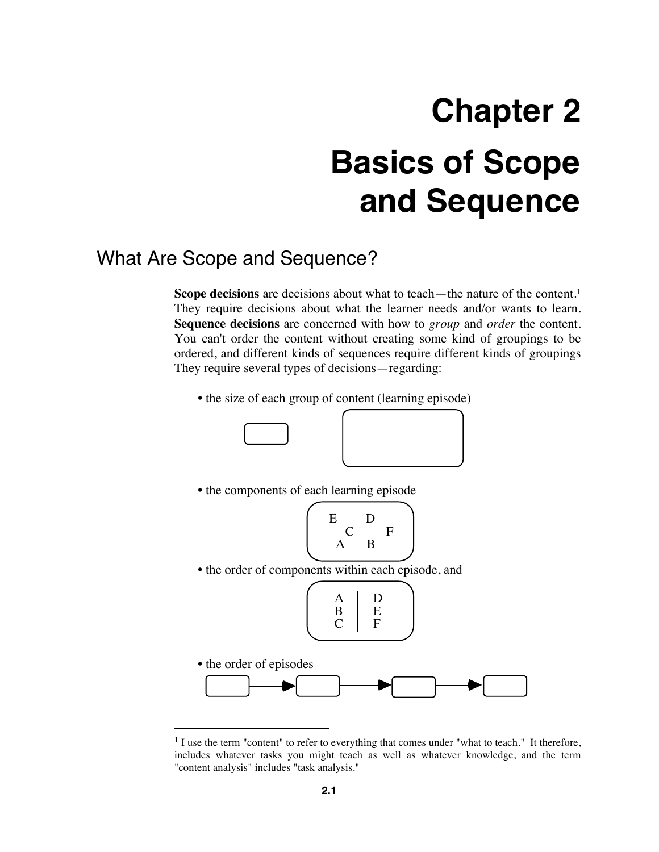# **Chapter 2 Basics of Scope and Sequence**

# What Are Scope and Sequence?

**Scope decisions** are decisions about what to teach—the nature of the content.<sup>1</sup> They require decisions about what the learner needs and/or wants to learn. **Sequence decisions** are concerned with how to *group* and *order* the content. You can't order the content without creating some kind of groupings to be ordered, and different kinds of sequences require different kinds of groupings They require several types of decisions—regarding:

• the size of each group of content (learning episode)



<sup>&</sup>lt;sup>1</sup> I use the term "content" to refer to everything that comes under "what to teach." It therefore, includes whatever tasks you might teach as well as whatever knowledge, and the term "content analysis" includes "task analysis."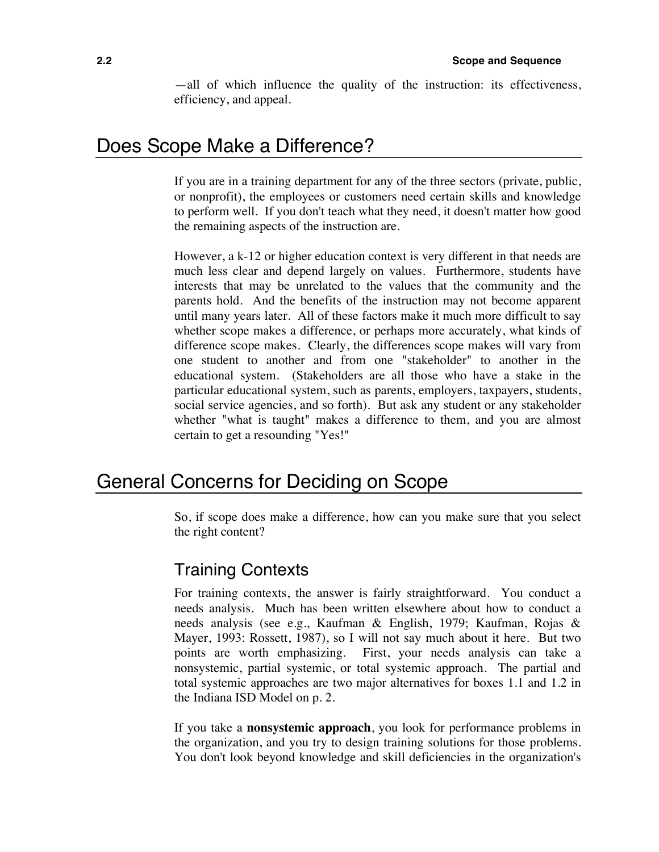—all of which influence the quality of the instruction: its effectiveness, efficiency, and appeal.

# Does Scope Make a Difference?

If you are in a training department for any of the three sectors (private, public, or nonprofit), the employees or customers need certain skills and knowledge to perform well. If you don't teach what they need, it doesn't matter how good the remaining aspects of the instruction are.

However, a k-12 or higher education context is very different in that needs are much less clear and depend largely on values. Furthermore, students have interests that may be unrelated to the values that the community and the parents hold. And the benefits of the instruction may not become apparent until many years later. All of these factors make it much more difficult to say whether scope makes a difference, or perhaps more accurately, what kinds of difference scope makes. Clearly, the differences scope makes will vary from one student to another and from one "stakeholder" to another in the educational system. (Stakeholders are all those who have a stake in the particular educational system, such as parents, employers, taxpayers, students, social service agencies, and so forth). But ask any student or any stakeholder whether "what is taught" makes a difference to them, and you are almost certain to get a resounding "Yes!"

## General Concerns for Deciding on Scope

So, if scope does make a difference, how can you make sure that you select the right content?

#### Training Contexts

For training contexts, the answer is fairly straightforward. You conduct a needs analysis. Much has been written elsewhere about how to conduct a needs analysis (see e.g., Kaufman & English, 1979; Kaufman, Rojas & Mayer, 1993: Rossett, 1987), so I will not say much about it here. But two points are worth emphasizing. First, your needs analysis can take a nonsystemic, partial systemic, or total systemic approach. The partial and total systemic approaches are two major alternatives for boxes 1.1 and 1.2 in the Indiana ISD Model on p. 2.

If you take a **nonsystemic approach**, you look for performance problems in the organization, and you try to design training solutions for those problems. You don't look beyond knowledge and skill deficiencies in the organization's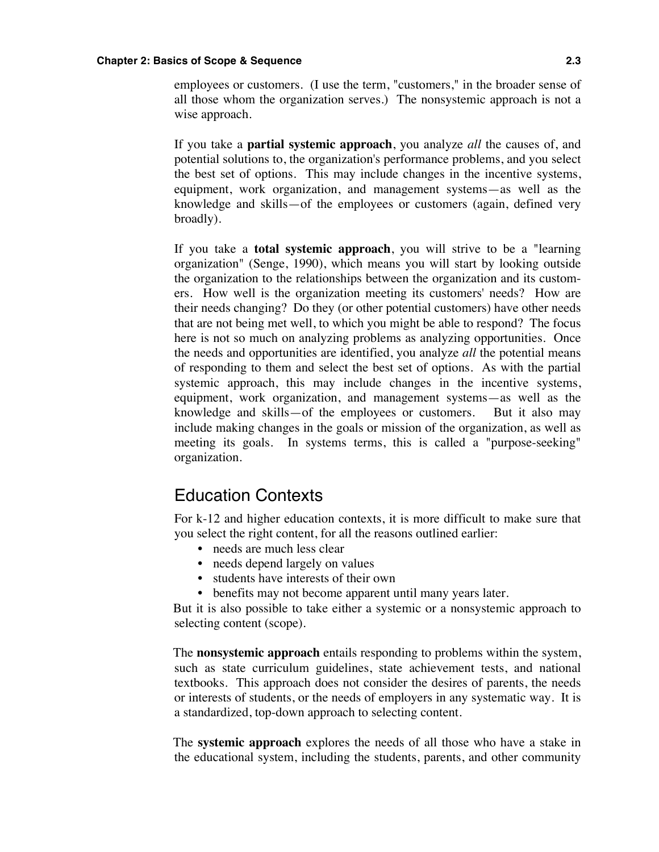#### **Chapter 2: Basics of Scope & Sequence 2.3**

employees or customers. (I use the term, "customers," in the broader sense of all those whom the organization serves.) The nonsystemic approach is not a wise approach.

If you take a **partial systemic approach**, you analyze *all* the causes of, and potential solutions to, the organization's performance problems, and you select the best set of options. This may include changes in the incentive systems, equipment, work organization, and management systems—as well as the knowledge and skills—of the employees or customers (again, defined very broadly).

If you take a **total systemic approach**, you will strive to be a "learning organization" (Senge, 1990), which means you will start by looking outside the organization to the relationships between the organization and its customers. How well is the organization meeting its customers' needs? How are their needs changing? Do they (or other potential customers) have other needs that are not being met well, to which you might be able to respond? The focus here is not so much on analyzing problems as analyzing opportunities. Once the needs and opportunities are identified, you analyze *all* the potential means of responding to them and select the best set of options. As with the partial systemic approach, this may include changes in the incentive systems, equipment, work organization, and management systems—as well as the knowledge and skills—of the employees or customers. But it also may include making changes in the goals or mission of the organization, as well as meeting its goals. In systems terms, this is called a "purpose-seeking" organization.

#### Education Contexts

For k-12 and higher education contexts, it is more difficult to make sure that you select the right content, for all the reasons outlined earlier:

- needs are much less clear
- needs depend largely on values
- students have interests of their own
- benefits may not become apparent until many years later.

But it is also possible to take either a systemic or a nonsystemic approach to selecting content (scope).

The **nonsystemic approach** entails responding to problems within the system, such as state curriculum guidelines, state achievement tests, and national textbooks. This approach does not consider the desires of parents, the needs or interests of students, or the needs of employers in any systematic way. It is a standardized, top-down approach to selecting content.

The **systemic approach** explores the needs of all those who have a stake in the educational system, including the students, parents, and other community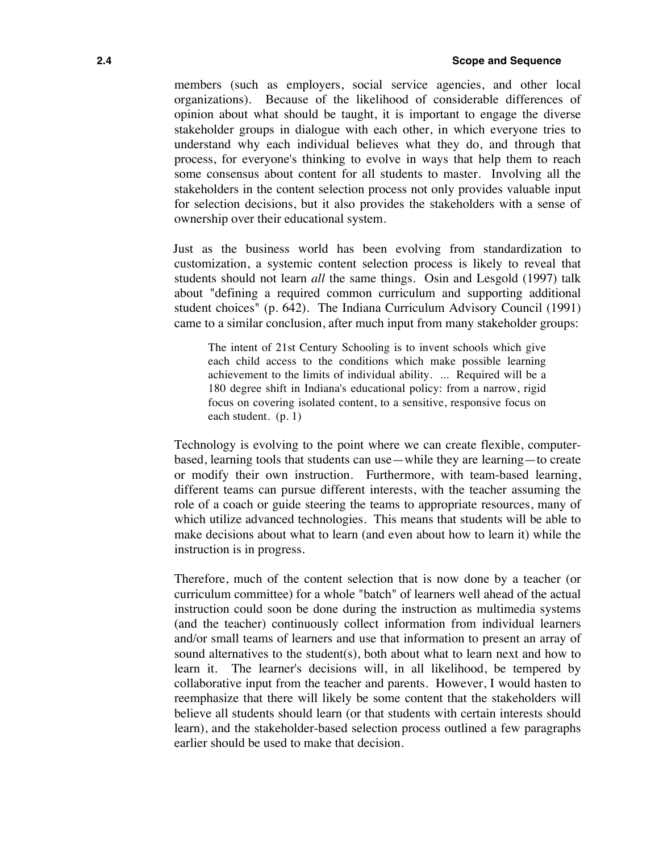members (such as employers, social service agencies, and other local organizations). Because of the likelihood of considerable differences of opinion about what should be taught, it is important to engage the diverse stakeholder groups in dialogue with each other, in which everyone tries to understand why each individual believes what they do, and through that process, for everyone's thinking to evolve in ways that help them to reach some consensus about content for all students to master. Involving all the stakeholders in the content selection process not only provides valuable input for selection decisions, but it also provides the stakeholders with a sense of ownership over their educational system.

Just as the business world has been evolving from standardization to customization, a systemic content selection process is likely to reveal that students should not learn *all* the same things. Osin and Lesgold (1997) talk about "defining a required common curriculum and supporting additional student choices" (p. 642). The Indiana Curriculum Advisory Council (1991) came to a similar conclusion, after much input from many stakeholder groups:

The intent of 21st Century Schooling is to invent schools which give each child access to the conditions which make possible learning achievement to the limits of individual ability. ... Required will be a 180 degree shift in Indiana's educational policy: from a narrow, rigid focus on covering isolated content, to a sensitive, responsive focus on each student. (p. 1)

Technology is evolving to the point where we can create flexible, computerbased, learning tools that students can use—while they are learning—to create or modify their own instruction. Furthermore, with team-based learning, different teams can pursue different interests, with the teacher assuming the role of a coach or guide steering the teams to appropriate resources, many of which utilize advanced technologies. This means that students will be able to make decisions about what to learn (and even about how to learn it) while the instruction is in progress.

Therefore, much of the content selection that is now done by a teacher (or curriculum committee) for a whole "batch" of learners well ahead of the actual instruction could soon be done during the instruction as multimedia systems (and the teacher) continuously collect information from individual learners and/or small teams of learners and use that information to present an array of sound alternatives to the student(s), both about what to learn next and how to learn it. The learner's decisions will, in all likelihood, be tempered by collaborative input from the teacher and parents. However, I would hasten to reemphasize that there will likely be some content that the stakeholders will believe all students should learn (or that students with certain interests should learn), and the stakeholder-based selection process outlined a few paragraphs earlier should be used to make that decision.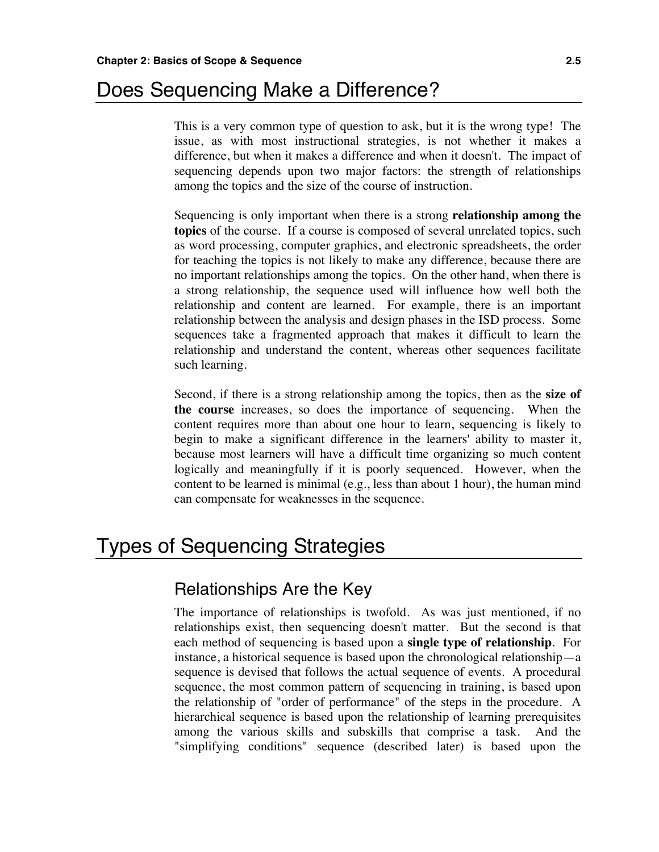# Does Sequencing Make a Difference?

This is a very common type of question to ask, but it is the wrong type! The issue, as with most instructional strategies, is not whether it makes a difference, but when it makes a difference and when it doesn't. The impact of sequencing depends upon two major factors: the strength of relationships among the topics and the size of the course of instruction.

Sequencing is only important when there is a strong **relationship among the topics** of the course. If a course is composed of several unrelated topics, such as word processing, computer graphics, and electronic spreadsheets, the order for teaching the topics is not likely to make any difference, because there are no important relationships among the topics. On the other hand, when there is a strong relationship, the sequence used will influence how well both the relationship and content are learned. For example, there is an important relationship between the analysis and design phases in the ISD process. Some sequences take a fragmented approach that makes it difficult to learn the relationship and understand the content, whereas other sequences facilitate such learning.

Second, if there is a strong relationship among the topics, then as the **size of the course** increases, so does the importance of sequencing. When the content requires more than about one hour to learn, sequencing is likely to begin to make a significant difference in the learners' ability to master it, because most learners will have a difficult time organizing so much content logically and meaningfully if it is poorly sequenced. However, when the content to be learned is minimal (e.g., less than about 1 hour), the human mind can compensate for weaknesses in the sequence.

# Types of Sequencing Strategies

#### Relationships Are the Key

The importance of relationships is twofold. As was just mentioned, if no relationships exist, then sequencing doesn't matter. But the second is that each method of sequencing is based upon a **single type of relationship**. For instance, a historical sequence is based upon the chronological relationship—a sequence is devised that follows the actual sequence of events. A procedural sequence, the most common pattern of sequencing in training, is based upon the relationship of "order of performance" of the steps in the procedure. A hierarchical sequence is based upon the relationship of learning prerequisites among the various skills and subskills that comprise a task. And the "simplifying conditions" sequence (described later) is based upon the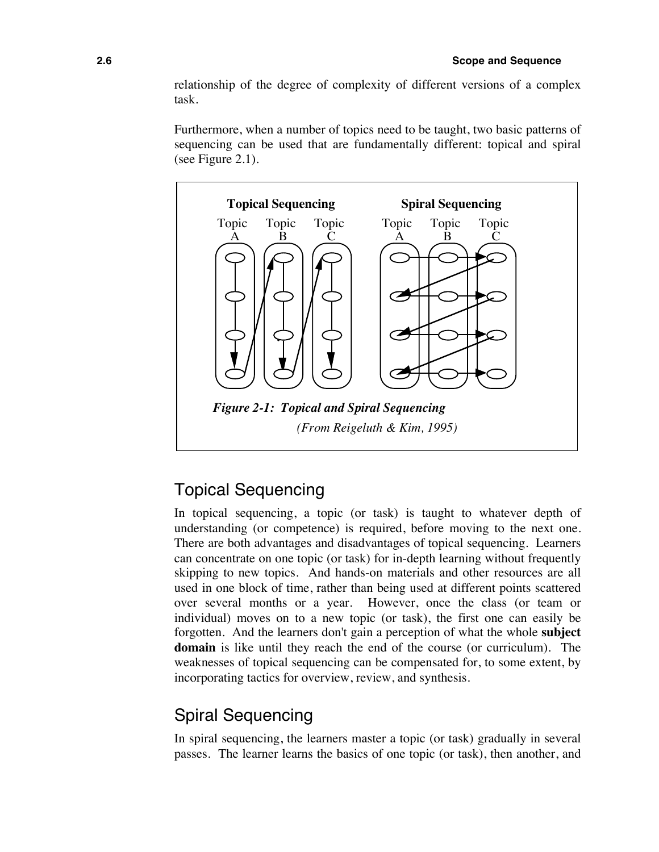relationship of the degree of complexity of different versions of a complex task.

Furthermore, when a number of topics need to be taught, two basic patterns of sequencing can be used that are fundamentally different: topical and spiral (see Figure 2.1).



## Topical Sequencing

In topical sequencing, a topic (or task) is taught to whatever depth of understanding (or competence) is required, before moving to the next one. There are both advantages and disadvantages of topical sequencing. Learners can concentrate on one topic (or task) for in-depth learning without frequently skipping to new topics. And hands-on materials and other resources are all used in one block of time, rather than being used at different points scattered over several months or a year. However, once the class (or team or individual) moves on to a new topic (or task), the first one can easily be forgotten. And the learners don't gain a perception of what the whole **subject domain** is like until they reach the end of the course (or curriculum). The weaknesses of topical sequencing can be compensated for, to some extent, by incorporating tactics for overview, review, and synthesis.

### Spiral Sequencing

In spiral sequencing, the learners master a topic (or task) gradually in several passes. The learner learns the basics of one topic (or task), then another, and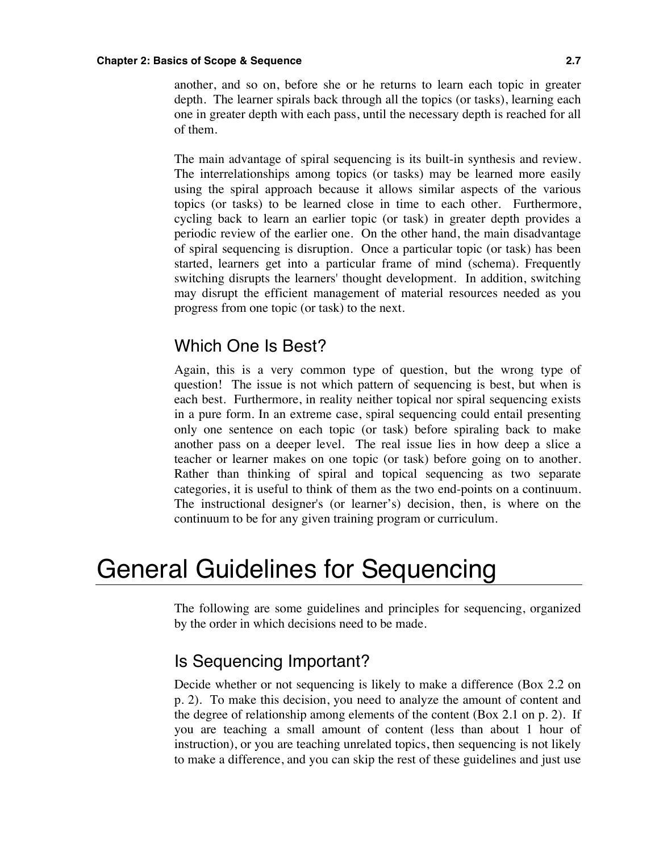#### **Chapter 2: Basics of Scope & Sequence 2.7**

another, and so on, before she or he returns to learn each topic in greater depth. The learner spirals back through all the topics (or tasks), learning each one in greater depth with each pass, until the necessary depth is reached for all of them.

The main advantage of spiral sequencing is its built-in synthesis and review. The interrelationships among topics (or tasks) may be learned more easily using the spiral approach because it allows similar aspects of the various topics (or tasks) to be learned close in time to each other. Furthermore, cycling back to learn an earlier topic (or task) in greater depth provides a periodic review of the earlier one. On the other hand, the main disadvantage of spiral sequencing is disruption. Once a particular topic (or task) has been started, learners get into a particular frame of mind (schema). Frequently switching disrupts the learners' thought development. In addition, switching may disrupt the efficient management of material resources needed as you progress from one topic (or task) to the next.

#### Which One Is Best?

Again, this is a very common type of question, but the wrong type of question! The issue is not which pattern of sequencing is best, but when is each best. Furthermore, in reality neither topical nor spiral sequencing exists in a pure form. In an extreme case, spiral sequencing could entail presenting only one sentence on each topic (or task) before spiraling back to make another pass on a deeper level. The real issue lies in how deep a slice a teacher or learner makes on one topic (or task) before going on to another. Rather than thinking of spiral and topical sequencing as two separate categories, it is useful to think of them as the two end-points on a continuum. The instructional designer's (or learner's) decision, then, is where on the continuum to be for any given training program or curriculum.

# General Guidelines for Sequencing

The following are some guidelines and principles for sequencing, organized by the order in which decisions need to be made.

### Is Sequencing Important?

Decide whether or not sequencing is likely to make a difference (Box 2.2 on p. 2). To make this decision, you need to analyze the amount of content and the degree of relationship among elements of the content (Box 2.1 on p. 2). If you are teaching a small amount of content (less than about 1 hour of instruction), or you are teaching unrelated topics, then sequencing is not likely to make a difference, and you can skip the rest of these guidelines and just use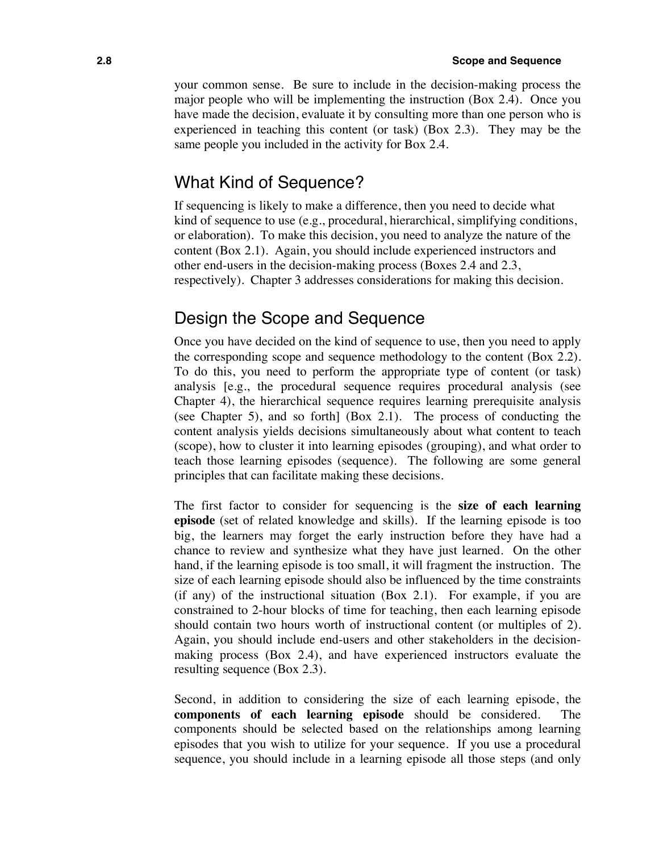your common sense. Be sure to include in the decision-making process the major people who will be implementing the instruction (Box 2.4). Once you have made the decision, evaluate it by consulting more than one person who is experienced in teaching this content (or task) (Box 2.3). They may be the same people you included in the activity for Box 2.4.

#### What Kind of Sequence?

If sequencing is likely to make a difference, then you need to decide what kind of sequence to use (e.g., procedural, hierarchical, simplifying conditions, or elaboration). To make this decision, you need to analyze the nature of the content (Box 2.1). Again, you should include experienced instructors and other end-users in the decision-making process (Boxes 2.4 and 2.3, respectively). Chapter 3 addresses considerations for making this decision.

### Design the Scope and Sequence

Once you have decided on the kind of sequence to use, then you need to apply the corresponding scope and sequence methodology to the content (Box 2.2). To do this, you need to perform the appropriate type of content (or task) analysis [e.g., the procedural sequence requires procedural analysis (see Chapter 4), the hierarchical sequence requires learning prerequisite analysis (see Chapter 5), and so forth] (Box 2.1). The process of conducting the content analysis yields decisions simultaneously about what content to teach (scope), how to cluster it into learning episodes (grouping), and what order to teach those learning episodes (sequence). The following are some general principles that can facilitate making these decisions.

The first factor to consider for sequencing is the **size of each learning episode** (set of related knowledge and skills). If the learning episode is too big, the learners may forget the early instruction before they have had a chance to review and synthesize what they have just learned. On the other hand, if the learning episode is too small, it will fragment the instruction. The size of each learning episode should also be influenced by the time constraints (if any) of the instructional situation (Box 2.1). For example, if you are constrained to 2-hour blocks of time for teaching, then each learning episode should contain two hours worth of instructional content (or multiples of 2). Again, you should include end-users and other stakeholders in the decisionmaking process (Box 2.4), and have experienced instructors evaluate the resulting sequence (Box 2.3).

Second, in addition to considering the size of each learning episode, the **components of each learning episode** should be considered. The components should be selected based on the relationships among learning episodes that you wish to utilize for your sequence. If you use a procedural sequence, you should include in a learning episode all those steps (and only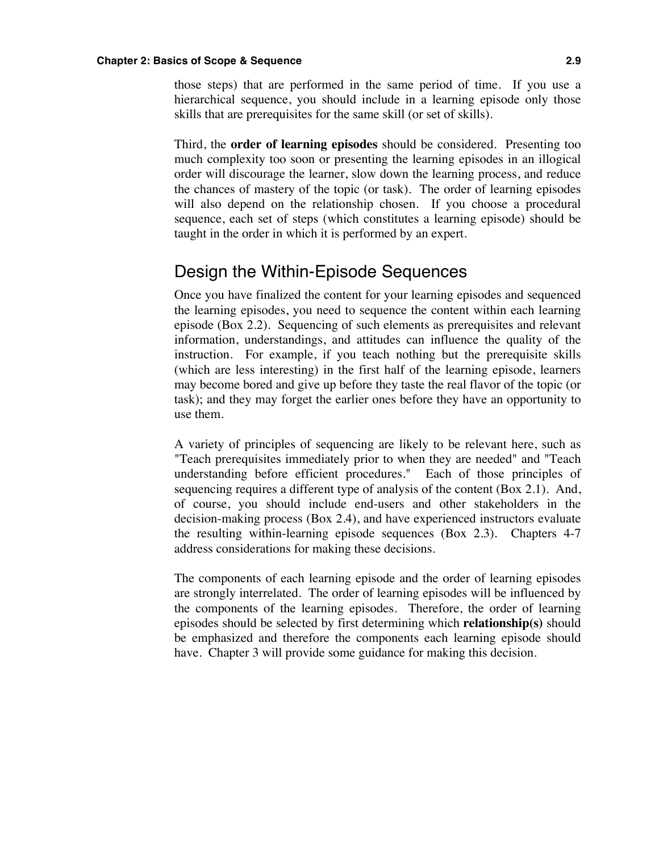#### **Chapter 2: Basics of Scope & Sequence 2.9**

those steps) that are performed in the same period of time. If you use a hierarchical sequence, you should include in a learning episode only those skills that are prerequisites for the same skill (or set of skills).

Third, the **order of learning episodes** should be considered. Presenting too much complexity too soon or presenting the learning episodes in an illogical order will discourage the learner, slow down the learning process, and reduce the chances of mastery of the topic (or task). The order of learning episodes will also depend on the relationship chosen. If you choose a procedural sequence, each set of steps (which constitutes a learning episode) should be taught in the order in which it is performed by an expert.

#### Design the Within-Episode Sequences

Once you have finalized the content for your learning episodes and sequenced the learning episodes, you need to sequence the content within each learning episode (Box 2.2). Sequencing of such elements as prerequisites and relevant information, understandings, and attitudes can influence the quality of the instruction. For example, if you teach nothing but the prerequisite skills (which are less interesting) in the first half of the learning episode, learners may become bored and give up before they taste the real flavor of the topic (or task); and they may forget the earlier ones before they have an opportunity to use them.

A variety of principles of sequencing are likely to be relevant here, such as "Teach prerequisites immediately prior to when they are needed" and "Teach understanding before efficient procedures." Each of those principles of sequencing requires a different type of analysis of the content (Box 2.1). And, of course, you should include end-users and other stakeholders in the decision-making process (Box 2.4), and have experienced instructors evaluate the resulting within-learning episode sequences (Box 2.3). Chapters 4-7 address considerations for making these decisions.

The components of each learning episode and the order of learning episodes are strongly interrelated. The order of learning episodes will be influenced by the components of the learning episodes. Therefore, the order of learning episodes should be selected by first determining which **relationship(s)** should be emphasized and therefore the components each learning episode should have. Chapter 3 will provide some guidance for making this decision.